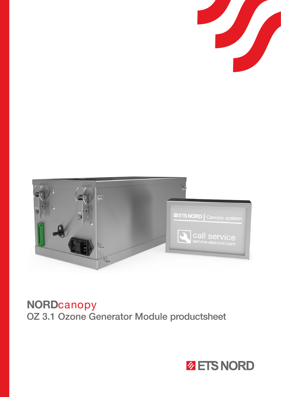



# NORDcanopy OZ 3.1 Ozone Generator Module productsheet

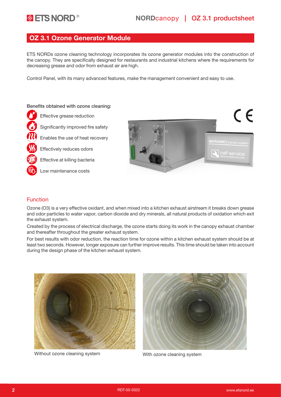# OZ 3.1 Ozone Generator Module

ETS NORDs ozone cleaning technology incorporates its ozone generator modules into the construction of the canopy. They are specifically designed for restaurants and industrial kitchens where the requirements for decreasing grease and odor from exhaust air are high.

Control Panel, with its many advanced features, make the management convenient and easy to use.

#### Benefits obtained with ozone cleaning:

Effective grease reduction

Significantly improved fire safety

Enables the use of heat recovery

Effectively reduces odors

Effective at killing bacteria





#### Function

Ozone (O3) is a very effective oxidant, and when mixed into a kitchen exhaust airstream it breaks down grease and odor particles to water vapor, carbon dioxide and dry minerals, all natural products of oxidation which exit the exhaust system.

Created by the process of electrical discharge, the ozone starts doing its work in the canopy exhaust chamber and thereafter throughout the greater exhaust system.

For best results with odor reduction, the reaction time for ozone within a kitchen exhaust system should be at least two seconds. However, longer exposure can further improve results. This time should be taken into account during the design phase of the kitchen exhaust system.



Without ozone cleaning system With ozone cleaning system

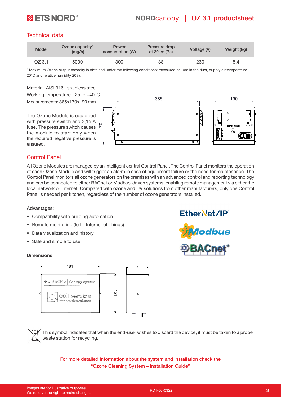

# **ETS NORD**<sup>®</sup> NORDcanopy | OZ 3.1 productsheet

### Technical data

| <b>Model</b> | Ozone capacity*<br>(mq/h) | Power<br>consumption (W) | Pressure drop<br>at 20 $\sqrt{s}$ (Pa) | Voltage (V) | Weight (kg) |
|--------------|---------------------------|--------------------------|----------------------------------------|-------------|-------------|
| $OZ$ 3.1     | 5000                      | 300                      | 38                                     | 230         | 5,4         |

\* Maximum Ozone output capacity is obtained under the following conditions: measured at 10m in the duct, supply air temperature 20°C and relative humidity 20%.

Material: AISI 316L stainless steel

Working temperature: -25 to +40°C Measurements: 385x170x190 mm

The Ozone Module is equipped with pressure switch and 3,15 A fuse. The pressure switch causes  $\sum_{n=1}^{\infty}$ the module to start only when the required negative pressure is ensured.



### Control Panel

All Ozone Modules are managed by an intelligent central Control Panel. The Control Panel monitors the operation of each Ozone Module and will trigger an alarm in case of equipment failure or the need for maintenance. The Control Panel monitors all ozone generators on the premises with an advanced control and reporting technology and can be connected to either BACnet or Modbus-driven systems, enabling remote management via either the local network or Internet. Compared with ozone and UV solutions from other manufacturers, only one Control Panel is needed per kitchen, regardless of the number of ozone generators installed.

#### Advantages:

- Compatibility with building automation
- Remote monitoring (IoT Internet of Things)
- Data visualization and history
- Safe and simple to use

#### Dimensions





This symbol indicates that when the end-user wishes to discard the device, it must be taken to a proper waste station for recycling.

For more detailed information about the system and installation check the